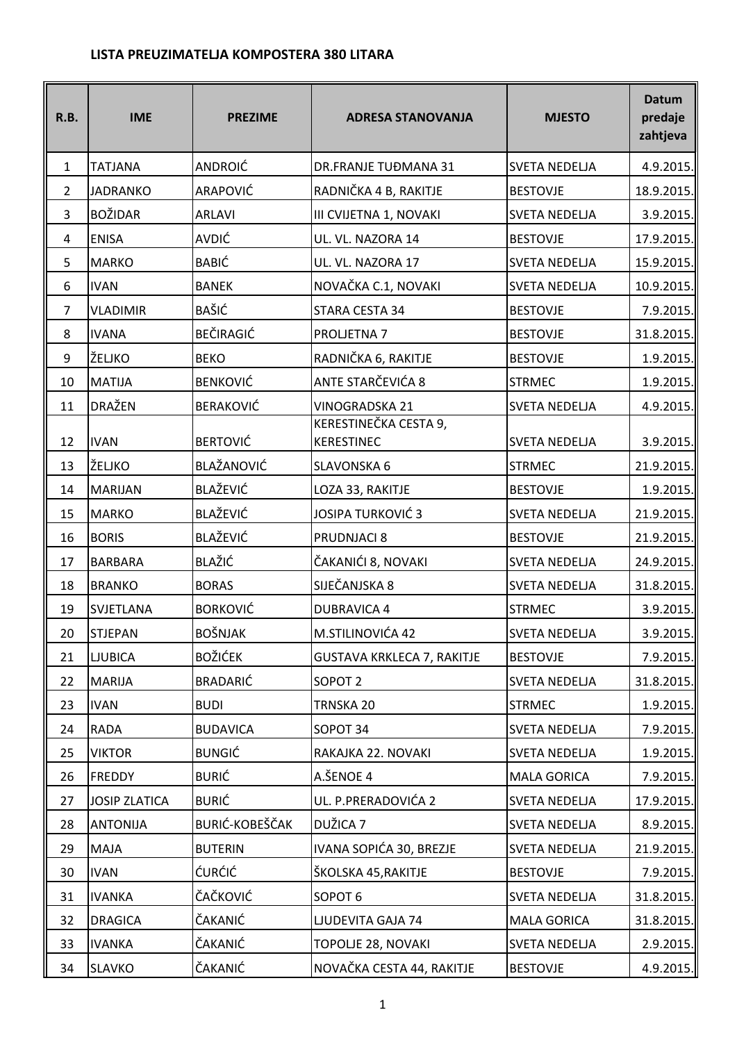## **LISTA PREUZIMATELJA KOMPOSTERA 380 LITARA**

| R.B.           | <b>IME</b>           | <b>PREZIME</b>        | <b>ADRESA STANOVANJA</b>                   | <b>MJESTO</b>        | <b>Datum</b><br>predaje<br>zahtjeva |
|----------------|----------------------|-----------------------|--------------------------------------------|----------------------|-------------------------------------|
| $\mathbf{1}$   | <b>TATJANA</b>       | ANDROIĆ               | DR.FRANJE TUĐMANA 31                       | <b>SVETA NEDELJA</b> | 4.9.2015.                           |
| 2              | <b>JADRANKO</b>      | ARAPOVIĆ              | RADNIČKA 4 B, RAKITJE                      | <b>BESTOVJE</b>      | 18.9.2015.                          |
| 3              | <b>BOŽIDAR</b>       | <b>ARLAVI</b>         | III CVIJETNA 1, NOVAKI                     | <b>SVETA NEDELJA</b> | 3.9.2015.                           |
| 4              | <b>ENISA</b>         | AVDIĆ                 | UL. VL. NAZORA 14                          | <b>BESTOVJE</b>      | 17.9.2015.                          |
| 5              | <b>MARKO</b>         | <b>BABIĆ</b>          | UL. VL. NAZORA 17                          | <b>SVETA NEDELJA</b> | 15.9.2015.                          |
| 6              | <b>IVAN</b>          | <b>BANEK</b>          | NOVAČKA C.1, NOVAKI                        | <b>SVETA NEDELJA</b> | 10.9.2015.                          |
| $\overline{7}$ | <b>VLADIMIR</b>      | <b>BAŠIĆ</b>          | STARA CESTA 34                             | <b>BESTOVJE</b>      | 7.9.2015.                           |
| 8              | <b>IVANA</b>         | BEČIRAGIĆ             | PROLJETNA 7                                | <b>BESTOVJE</b>      | 31.8.2015.                          |
| 9              | ŽELJKO               | <b>BEKO</b>           | RADNIČKA 6, RAKITJE                        | <b>BESTOVJE</b>      | 1.9.2015.                           |
| 10             | <b>MATIJA</b>        | <b>BENKOVIĆ</b>       | ANTE STARČEVIĆA 8                          | <b>STRMEC</b>        | 1.9.2015.                           |
| 11             | <b>DRAŽEN</b>        | <b>BERAKOVIĆ</b>      | <b>VINOGRADSKA 21</b>                      | <b>SVETA NEDELJA</b> | 4.9.2015.                           |
| 12             | <b>IVAN</b>          | <b>BERTOVIĆ</b>       | KERESTINEČKA CESTA 9,<br><b>KERESTINEC</b> | <b>SVETA NEDELJA</b> | 3.9.2015.                           |
| 13             | ŽELJKO               | BLAŽANOVIĆ            | <b>SLAVONSKA 6</b>                         | <b>STRMEC</b>        | 21.9.2015.                          |
| 14             | <b>MARIJAN</b>       | <b>BLAŽEVIĆ</b>       | LOZA 33, RAKITJE                           | <b>BESTOVJE</b>      | 1.9.2015.                           |
| 15             | <b>MARKO</b>         | BLAŽEVIĆ              | <b>JOSIPA TURKOVIĆ3</b>                    | <b>SVETA NEDELJA</b> | 21.9.2015.                          |
| 16             | <b>BORIS</b>         | BLAŽEVIĆ              | PRUDNJACI 8                                | <b>BESTOVJE</b>      | 21.9.2015.                          |
| 17             | <b>BARBARA</b>       | BLAŽIĆ                | ČAKANIĆI 8, NOVAKI                         | <b>SVETA NEDELJA</b> | 24.9.2015.                          |
| 18             | <b>BRANKO</b>        | <b>BORAS</b>          | SIJEČANJSKA 8                              | <b>SVETA NEDELJA</b> | 31.8.2015.                          |
| 19             | SVJETLANA            | <b>BORKOVIĆ</b>       | <b>DUBRAVICA 4</b>                         | <b>STRMEC</b>        | 3.9.2015.                           |
| 20             | STJEPAN              | BOŠNJAK               | M.STILINOVIĆA 42                           | SVETA NEDELJA        | 3.9.2015.                           |
| 21             | <b>LJUBICA</b>       | <b>BOŽIĆEK</b>        | <b>GUSTAVA KRKLECA 7, RAKITJE</b>          | <b>BESTOVJE</b>      | 7.9.2015.                           |
| 22             | <b>MARIJA</b>        | <b>BRADARIĆ</b>       | SOPOT <sub>2</sub>                         | <b>SVETA NEDELJA</b> | 31.8.2015.                          |
| 23             | <b>IVAN</b>          | <b>BUDI</b>           | TRNSKA 20                                  | <b>STRMEC</b>        | 1.9.2015.                           |
| 24             | <b>RADA</b>          | <b>BUDAVICA</b>       | SOPOT 34                                   | <b>SVETA NEDELJA</b> | 7.9.2015.                           |
| 25             | <b>VIKTOR</b>        | <b>BUNGIĆ</b>         | RAKAJKA 22. NOVAKI                         | <b>SVETA NEDELJA</b> | 1.9.2015.                           |
| 26             | <b>FREDDY</b>        | <b>BURIĆ</b>          | A.ŠENOE 4                                  | <b>MALA GORICA</b>   | 7.9.2015.                           |
| 27             | <b>JOSIP ZLATICA</b> | <b>BURIĆ</b>          | UL. P.PRERADOVIĆA 2                        | <b>SVETA NEDELJA</b> | 17.9.2015.                          |
| 28             | <b>ANTONIJA</b>      | <b>BURIĆ-KOBEŠČAK</b> | DUŽICA 7                                   | <b>SVETA NEDELJA</b> | 8.9.2015.                           |
| 29             | <b>MAJA</b>          | <b>BUTERIN</b>        | IVANA SOPIĆA 30, BREZJE                    | <b>SVETA NEDELJA</b> | 21.9.2015.                          |
| 30             | <b>IVAN</b>          | <b>ĆURĆIĆ</b>         | ŠKOLSKA 45, RAKITJE                        | <b>BESTOVJE</b>      | 7.9.2015.                           |
| 31             | <b>IVANKA</b>        | ČAČKOVIĆ              | SOPOT <sub>6</sub>                         | <b>SVETA NEDELJA</b> | 31.8.2015.                          |
| 32             | <b>DRAGICA</b>       | ČAKANIĆ               | LJUDEVITA GAJA 74                          | <b>MALA GORICA</b>   | 31.8.2015.                          |
| 33             | <b>IVANKA</b>        | ČAKANIĆ               | <b>TOPOLJE 28, NOVAKI</b>                  | <b>SVETA NEDELJA</b> | 2.9.2015.                           |
| 34             | <b>SLAVKO</b>        | ČAKANIĆ               | NOVAČKA CESTA 44, RAKITJE                  | <b>BESTOVJE</b>      | 4.9.2015.                           |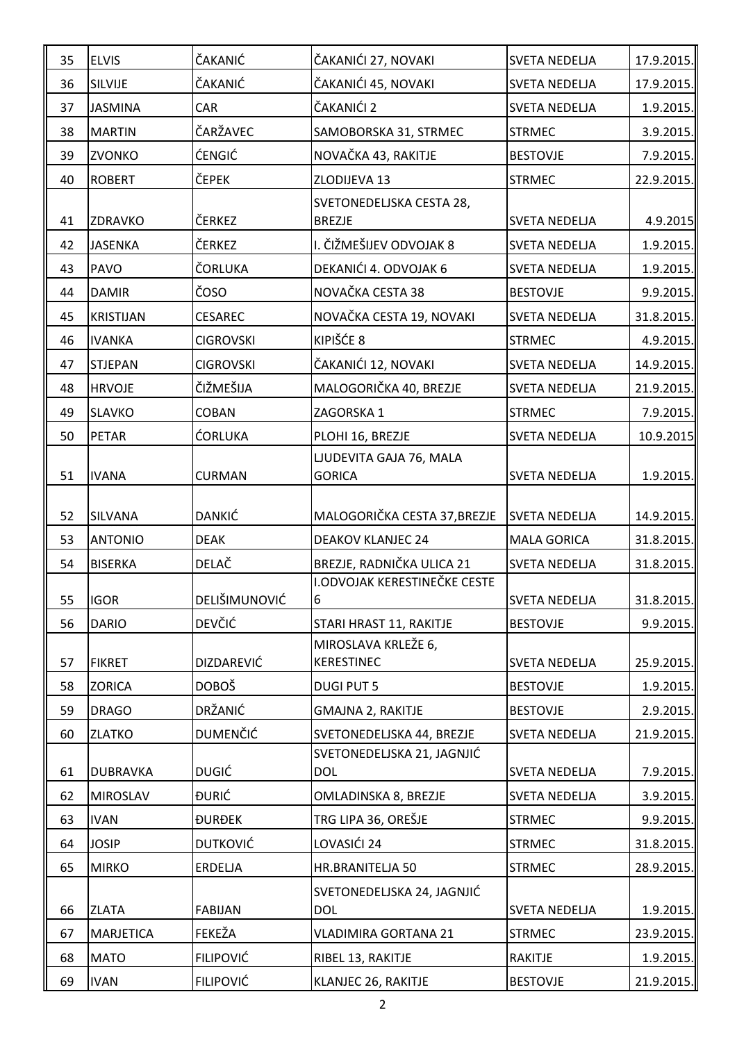| 35 | <b>ELVIS</b>     | ČAKANIĆ          | ČAKANIĆI 27, NOVAKI                                     | <b>SVETA NEDELJA</b> | 17.9.2015.   |
|----|------------------|------------------|---------------------------------------------------------|----------------------|--------------|
| 36 | SILVIJE          | ČAKANIĆ          | ČAKANIĆI 45, NOVAKI                                     | <b>SVETA NEDELJA</b> | 17.9.2015.   |
| 37 | <b>JASMINA</b>   | CAR              | ČAKANIĆI 2                                              | <b>SVETA NEDELJA</b> | 1.9.2015.    |
| 38 | <b>MARTIN</b>    | ČARŽAVEC         | SAMOBORSKA 31, STRMEC                                   | <b>STRMEC</b>        | 3.9.2015.    |
| 39 | <b>ZVONKO</b>    | <b>ĆENGIĆ</b>    | NOVAČKA 43, RAKITJE                                     | <b>BESTOVJE</b>      | 7.9.2015.    |
| 40 | <b>ROBERT</b>    | ČEPEK            | ZLODIJEVA 13                                            | <b>STRMEC</b>        | 22.9.2015.   |
| 41 | ZDRAVKO          | ČERKEZ           | SVETONEDELJSKA CESTA 28,<br><b>BREZJE</b>               | <b>SVETA NEDELJA</b> | 4.9.2015     |
| 42 | JASENKA          | ČERKEZ           | I. ČIŽMEŠIJEV ODVOJAK 8                                 | <b>SVETA NEDELJA</b> | 1.9.2015.    |
| 43 | <b>PAVO</b>      | ČORLUKA          | DEKANIĆI 4. ODVOJAK 6                                   | <b>SVETA NEDELJA</b> | 1.9.2015.    |
| 44 | <b>DAMIR</b>     | ČOSO             | NOVAČKA CESTA 38                                        | <b>BESTOVJE</b>      | 9.9.2015.    |
| 45 | <b>KRISTIJAN</b> | <b>CESAREC</b>   | NOVAČKA CESTA 19, NOVAKI                                | <b>SVETA NEDELJA</b> | 31.8.2015.   |
| 46 | <b>IVANKA</b>    | <b>CIGROVSKI</b> | KIPIŠĆE 8                                               | <b>STRMEC</b>        | 4.9.2015.    |
| 47 | <b>STJEPAN</b>   | <b>CIGROVSKI</b> | ČAKANIĆI 12, NOVAKI                                     | <b>SVETA NEDELJA</b> | 14.9.2015.   |
| 48 | <b>HRVOJE</b>    | ČIŽMEŠIJA        | MALOGORIČKA 40, BREZJE                                  | <b>SVETA NEDELJA</b> | 21.9.2015.   |
| 49 | <b>SLAVKO</b>    | <b>COBAN</b>     | ZAGORSKA 1                                              | <b>STRMEC</b>        | 7.9.2015.    |
| 50 | <b>PETAR</b>     | <b>ĆORLUKA</b>   | PLOHI 16, BREZJE                                        | <b>SVETA NEDELJA</b> | 10.9.2015    |
| 51 | <b>IVANA</b>     | <b>CURMAN</b>    | LJUDEVITA GAJA 76, MALA<br><b>GORICA</b>                | <b>SVETA NEDELJA</b> | 1.9.2015.    |
| 52 | <b>SILVANA</b>   | DANKIĆ           | MALOGORIČKA CESTA 37, BREZJE                            | <b>SVETA NEDELJA</b> | 14.9.2015.   |
| 53 | <b>ANTONIO</b>   | <b>DEAK</b>      | <b>DEAKOV KLANJEC 24</b>                                | <b>MALA GORICA</b>   | 31.8.2015.   |
| 54 | <b>BISERKA</b>   | DELAČ            | BREZJE, RADNIČKA ULICA 21                               | <b>SVETA NEDELJA</b> | 31.8.2015.   |
| 55 | <b>IGOR</b>      | DELIŠIMUNOVIĆ    | I.ODVOJAK KERESTINEČKE CESTE<br>6                       | <b>SVETA NEDELJA</b> | 31.8.2015.   |
| 56 | <b>DARIO</b>     | <b>DEVČIĆ</b>    | STARI HRAST 11, RAKITJE                                 | <b>BESTOVJE</b>      | 9.9.2015.    |
|    |                  | DIZDAREVIĆ       | MIROSLAVA KRLEŽE 6,<br><b>KERESTINEC</b>                | <b>SVETA NEDELJA</b> |              |
| 57 | <b>FIKRET</b>    |                  |                                                         |                      | 25.9.2015.   |
| 58 | <b>ZORICA</b>    | <b>DOBOŠ</b>     | <b>DUGI PUT 5</b>                                       | <b>BESTOVJE</b>      | 1.9.2015.    |
| 59 | <b>DRAGO</b>     | DRŽANIĆ          | <b>GMAJNA 2, RAKITJE</b>                                | <b>BESTOVJE</b>      | 2.9.2015.    |
| 60 | <b>ZLATKO</b>    | <b>DUMENČIĆ</b>  | SVETONEDELJSKA 44, BREZJE<br>SVETONEDELJSKA 21, JAGNJIĆ | <b>SVETA NEDELJA</b> | 21.9.2015.   |
| 61 | <b>DUBRAVKA</b>  | <b>DUGIĆ</b>     | <b>DOL</b>                                              | <b>SVETA NEDELJA</b> | 7.9.2015.    |
| 62 | <b>MIROSLAV</b>  | <b>DURIĆ</b>     | OMLADINSKA 8, BREZJE                                    | <b>SVETA NEDELJA</b> | 3.9.2015.    |
| 63 | <b>IVAN</b>      | <b>ĐURĐEK</b>    | TRG LIPA 36, OREŠJE                                     | <b>STRMEC</b>        | 9.9.2015.    |
| 64 | <b>JOSIP</b>     | <b>DUTKOVIĆ</b>  | LOVASIĆI 24                                             | <b>STRMEC</b>        | 31.8.2015.   |
| 65 | <b>MIRKO</b>     | <b>ERDELJA</b>   | HR.BRANITELJA 50                                        | <b>STRMEC</b>        | 28.9.2015.   |
| 66 | <b>ZLATA</b>     | <b>FABIJAN</b>   | SVETONEDELJSKA 24, JAGNJIĆ<br><b>DOL</b>                | <b>SVETA NEDELJA</b> | 1.9.2015.    |
| 67 | <b>MARJETICA</b> | FEKEŽA           | <b>VLADIMIRA GORTANA 21</b>                             | <b>STRMEC</b>        | 23.9.2015.   |
| 68 | <b>MATO</b>      | <b>FILIPOVIĆ</b> | RIBEL 13, RAKITJE                                       | <b>RAKITJE</b>       | $1.9.2015$ . |
| 69 | <b>IVAN</b>      | <b>FILIPOVIĆ</b> | KLANJEC 26, RAKITJE                                     | <b>BESTOVJE</b>      | 21.9.2015.   |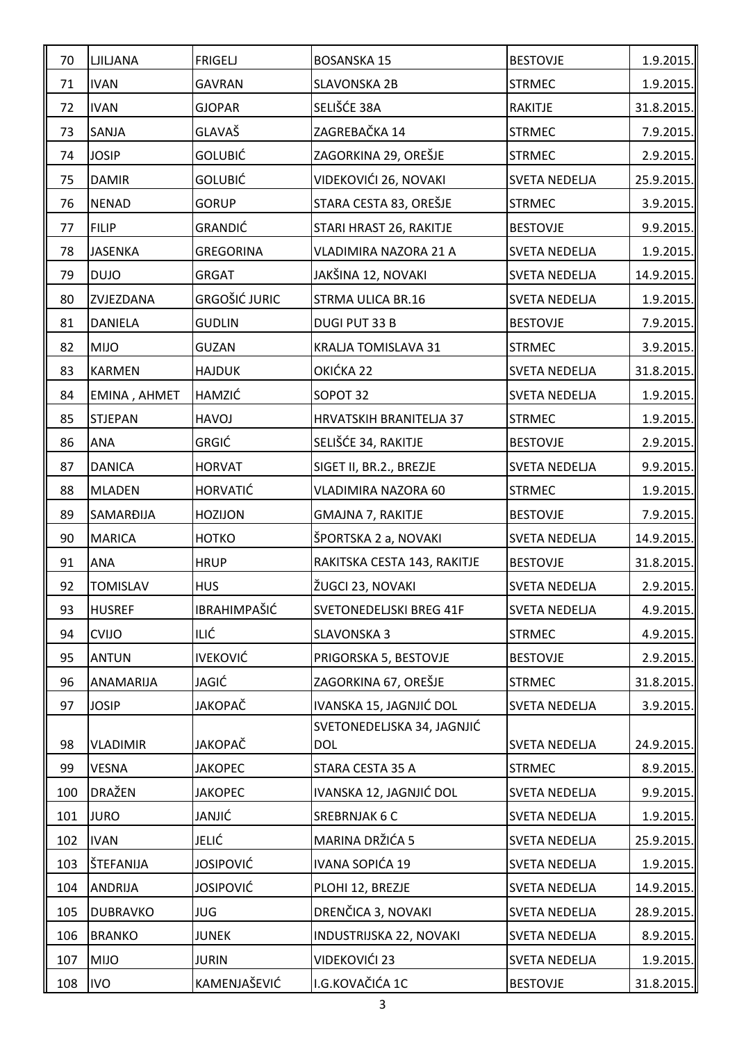| 70  | <b>LJILJANA</b> | <b>FRIGELJ</b>       | <b>BOSANSKA 15</b>             | <b>BESTOVJE</b>      | 1.9.2015.    |
|-----|-----------------|----------------------|--------------------------------|----------------------|--------------|
| 71  | <b>IVAN</b>     | <b>GAVRAN</b>        | <b>SLAVONSKA 2B</b>            | <b>STRMEC</b>        | 1.9.2015.    |
| 72  | <b>IVAN</b>     | <b>GJOPAR</b>        | SELIŠĆE 38A                    | <b>RAKITJE</b>       | 31.8.2015.   |
| 73  | SANJA           | GLAVAŠ               | ZAGREBAČKA 14                  | <b>STRMEC</b>        | 7.9.2015.    |
| 74  | <b>JOSIP</b>    | GOLUBIĆ              | ZAGORKINA 29, OREŠJE           | <b>STRMEC</b>        | 2.9.2015.    |
| 75  | <b>DAMIR</b>    | GOLUBIĆ              | VIDEKOVIĆI 26, NOVAKI          | <b>SVETA NEDELJA</b> | 25.9.2015.   |
| 76  | <b>NENAD</b>    | <b>GORUP</b>         | STARA CESTA 83, OREŠJE         | <b>STRMEC</b>        | 3.9.2015.    |
| 77  | <b>FILIP</b>    | <b>GRANDIĆ</b>       | STARI HRAST 26, RAKITJE        | <b>BESTOVJE</b>      | 9.9.2015.    |
| 78  | <b>JASENKA</b>  | <b>GREGORINA</b>     | VLADIMIRA NAZORA 21 A          | <b>SVETA NEDELJA</b> | 1.9.2015.    |
| 79  | <b>DUJO</b>     | <b>GRGAT</b>         | JAKŠINA 12, NOVAKI             | <b>SVETA NEDELJA</b> | 14.9.2015.   |
| 80  | ZVJEZDANA       | <b>GRGOŠIĆ JURIC</b> | STRMA ULICA BR.16              | <b>SVETA NEDELJA</b> | 1.9.2015.    |
| 81  | <b>DANIELA</b>  | <b>GUDLIN</b>        | <b>DUGI PUT 33 B</b>           | <b>BESTOVJE</b>      | 7.9.2015.    |
| 82  | <b>MIJO</b>     | <b>GUZAN</b>         | <b>KRALJA TOMISLAVA 31</b>     | <b>STRMEC</b>        | 3.9.2015.    |
| 83  | <b>KARMEN</b>   | <b>HAJDUK</b>        | OKIĆKA 22                      | <b>SVETA NEDELJA</b> | 31.8.2015.   |
| 84  | EMINA, AHMET    | <b>HAMZIĆ</b>        | SOPOT 32                       | <b>SVETA NEDELJA</b> | 1.9.2015.    |
| 85  | <b>STJEPAN</b>  | <b>HAVOJ</b>         | <b>HRVATSKIH BRANITELJA 37</b> | <b>STRMEC</b>        | 1.9.2015.    |
| 86  | <b>ANA</b>      | <b>GRGIĆ</b>         | SELIŠĆE 34, RAKITJE            | <b>BESTOVJE</b>      | 2.9.2015.    |
| 87  | <b>DANICA</b>   | <b>HORVAT</b>        | SIGET II, BR.2., BREZJE        | <b>SVETA NEDELJA</b> | 9.9.2015.    |
| 88  | <b>MLADEN</b>   | <b>HORVATIĆ</b>      | VLADIMIRA NAZORA 60            | <b>STRMEC</b>        | 1.9.2015.    |
| 89  | SAMARĐIJA       | <b>HOZIJON</b>       | <b>GMAJNA 7, RAKITJE</b>       | <b>BESTOVJE</b>      | 7.9.2015.    |
| 90  | <b>MARICA</b>   | <b>HOTKO</b>         | ŠPORTSKA 2 a, NOVAKI           | <b>SVETA NEDELJA</b> | 14.9.2015.   |
| 91  | <b>ANA</b>      | <b>HRUP</b>          | RAKITSKA CESTA 143, RAKITJE    | <b>BESTOVJE</b>      | 31.8.2015.   |
| 92  | <b>TOMISLAV</b> | <b>HUS</b>           | ŽUGCI 23, NOVAKI               | <b>SVETA NEDELJA</b> | 2.9.2015.    |
| 93  | <b>HUSREF</b>   | <b>IBRAHIMPAŠIĆ</b>  | <b>SVETONEDELJSKI BREG 41F</b> | <b>SVETA NEDELJA</b> | $4.9.2015$ . |
| 94  | <b>CVIJO</b>    | ILIĆ                 | <b>SLAVONSKA 3</b>             | <b>STRMEC</b>        | 4.9.2015.    |
| 95  | <b>ANTUN</b>    | <b>IVEKOVIĆ</b>      | PRIGORSKA 5, BESTOVJE          | <b>BESTOVJE</b>      | 2.9.2015.    |
| 96  | ANAMARIJA       | JAGIĆ                | ZAGORKINA 67, OREŠJE           | <b>STRMEC</b>        | 31.8.2015.   |
| 97  | <b>JOSIP</b>    | <b>JAKOPAČ</b>       | IVANSKA 15, JAGNJIĆ DOL        | <b>SVETA NEDELJA</b> | 3.9.2015.    |
|     |                 |                      | SVETONEDELJSKA 34, JAGNJIĆ     |                      |              |
| 98  | <b>VLADIMIR</b> | <b>JAKOPAČ</b>       | <b>DOL</b>                     | <b>SVETA NEDELJA</b> | 24.9.2015.   |
| 99  | <b>VESNA</b>    | <b>JAKOPEC</b>       | STARA CESTA 35 A               | <b>STRMEC</b>        | 8.9.2015.    |
| 100 | <b>DRAŽEN</b>   | <b>JAKOPEC</b>       | IVANSKA 12, JAGNJIĆ DOL        | <b>SVETA NEDELJA</b> | 9.9.2015.    |
| 101 | <b>JURO</b>     | JANJIĆ               | SREBRNJAK 6 C                  | <b>SVETA NEDELJA</b> | 1.9.2015.    |
| 102 | <b>IVAN</b>     | <b>JELIĆ</b>         | MARINA DRŽIĆA 5                | <b>SVETA NEDELJA</b> | 25.9.2015.   |
| 103 | ŠTEFANIJA       | <b>JOSIPOVIĆ</b>     | IVANA SOPIĆA 19                | <b>SVETA NEDELJA</b> | 1.9.2015.    |
| 104 | <b>ANDRIJA</b>  | <b>JOSIPOVIĆ</b>     | PLOHI 12, BREZJE               | <b>SVETA NEDELJA</b> | 14.9.2015.   |
| 105 | <b>DUBRAVKO</b> | <b>JUG</b>           | DRENČICA 3, NOVAKI             | <b>SVETA NEDELJA</b> | 28.9.2015.   |
| 106 | <b>BRANKO</b>   | <b>JUNEK</b>         | INDUSTRIJSKA 22, NOVAKI        | <b>SVETA NEDELJA</b> | 8.9.2015.    |
| 107 | <b>MIJO</b>     | <b>JURIN</b>         | VIDEKOVIĆI 23                  | <b>SVETA NEDELJA</b> | 1.9.2015.    |
| 108 | <b>IVO</b>      | KAMENJAŠEVIĆ         | I.G.KOVAČIĆA 1C                | <b>BESTOVJE</b>      | 31.8.2015.   |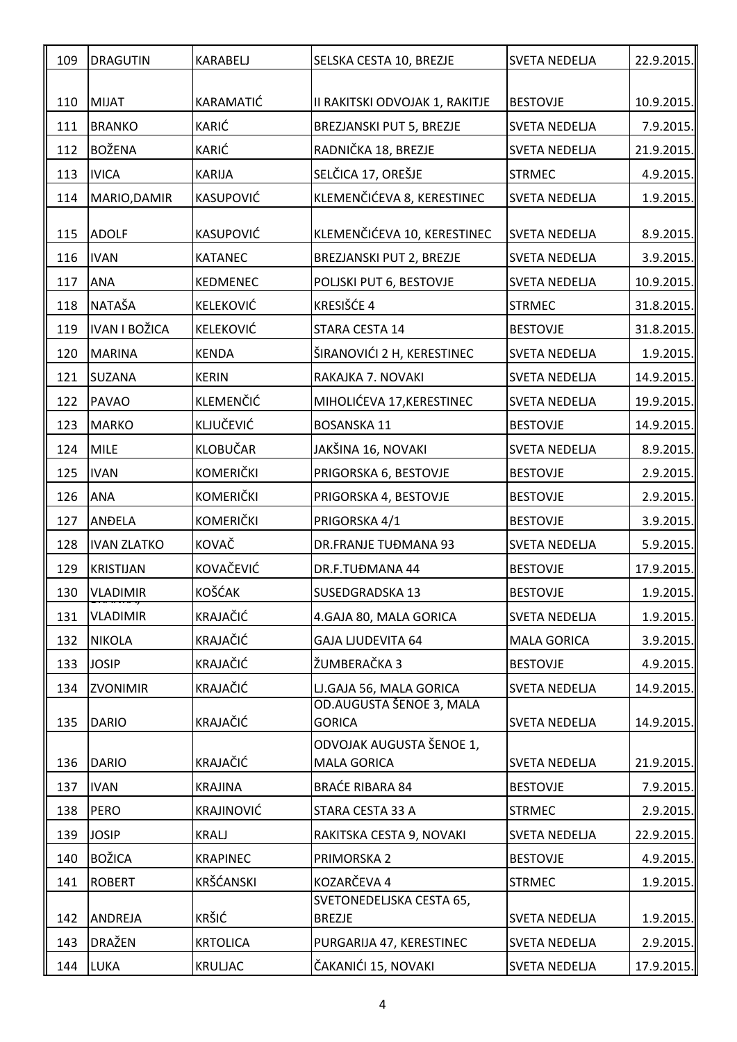| 109 | <b>DRAGUTIN</b>      | <b>KARABELJ</b>   | SELSKA CESTA 10, BREZJE                   | <b>SVETA NEDELJA</b> | 22.9.2015. |
|-----|----------------------|-------------------|-------------------------------------------|----------------------|------------|
|     |                      |                   |                                           |                      |            |
| 110 | <b>MIJAT</b>         | KARAMATIĆ         | II RAKITSKI ODVOJAK 1, RAKITJE            | <b>BESTOVJE</b>      | 10.9.2015. |
| 111 | <b>BRANKO</b>        | KARIĆ             | BREZJANSKI PUT 5, BREZJE                  | <b>SVETA NEDELJA</b> | 7.9.2015.  |
| 112 | <b>BOŽENA</b>        | KARIĆ             | RADNIČKA 18, BREZJE                       | <b>SVETA NEDELJA</b> | 21.9.2015. |
| 113 | <b>IVICA</b>         | <b>KARIJA</b>     | SELČICA 17, OREŠJE                        | <b>STRMEC</b>        | 4.9.2015.  |
| 114 | MARIO, DAMIR         | KASUPOVIĆ         | KLEMENČIĆEVA 8, KERESTINEC                | <b>SVETA NEDELJA</b> | 1.9.2015.  |
| 115 | <b>ADOLF</b>         | KASUPOVIĆ         | KLEMENČIĆEVA 10, KERESTINEC               | <b>SVETA NEDELJA</b> | 8.9.2015.  |
| 116 | <b>IVAN</b>          | <b>KATANEC</b>    | BREZJANSKI PUT 2, BREZJE                  | <b>SVETA NEDELJA</b> | 3.9.2015.  |
| 117 | <b>ANA</b>           | <b>KEDMENEC</b>   | POLJSKI PUT 6, BESTOVJE                   | <b>SVETA NEDELJA</b> | 10.9.2015. |
| 118 | <b>NATAŠA</b>        | <b>KELEKOVIĆ</b>  | KRESIŠĆE 4                                | <b>STRMEC</b>        | 31.8.2015. |
| 119 | <b>IVAN I BOŽICA</b> | <b>KELEKOVIĆ</b>  | STARA CESTA 14                            | <b>BESTOVJE</b>      | 31.8.2015. |
| 120 | <b>MARINA</b>        | <b>KENDA</b>      | ŠIRANOVIĆI 2 H, KERESTINEC                | <b>SVETA NEDELJA</b> | 1.9.2015.  |
| 121 | <b>SUZANA</b>        | <b>KERIN</b>      | RAKAJKA 7. NOVAKI                         | <b>SVETA NEDELJA</b> | 14.9.2015. |
| 122 | <b>PAVAO</b>         | <b>KLEMENČIĆ</b>  | MIHOLIĆEVA 17, KERESTINEC                 | <b>SVETA NEDELJA</b> | 19.9.2015. |
| 123 | <b>MARKO</b>         | KLJUČEVIĆ         | <b>BOSANSKA 11</b>                        | <b>BESTOVJE</b>      | 14.9.2015. |
| 124 | <b>MILE</b>          | <b>KLOBUČAR</b>   | JAKŠINA 16, NOVAKI                        | <b>SVETA NEDELJA</b> | 8.9.2015.  |
| 125 | <b>IVAN</b>          | <b>KOMERIČKI</b>  | PRIGORSKA 6, BESTOVJE                     | <b>BESTOVJE</b>      | 2.9.2015.  |
| 126 | <b>ANA</b>           | <b>KOMERIČKI</b>  | PRIGORSKA 4, BESTOVJE                     | <b>BESTOVJE</b>      | 2.9.2015.  |
| 127 | <b>ANDELA</b>        | <b>KOMERIČKI</b>  | PRIGORSKA 4/1                             | <b>BESTOVJE</b>      | 3.9.2015.  |
| 128 | <b>IVAN ZLATKO</b>   | KOVAČ             | <b>DR.FRANJE TUĐMANA 93</b>               | <b>SVETA NEDELJA</b> | 5.9.2015.  |
| 129 | <b>KRISTIJAN</b>     | KOVAČEVIĆ         | DR.F.TUĐMANA 44                           | <b>BESTOVJE</b>      | 17.9.2015. |
| 130 | <b>VLADIMIR</b>      | KOŠĆAK            | <b>SUSEDGRADSKA 13</b>                    | <b>BESTOVJE</b>      | 1.9.2015.  |
| 131 | <b>VLADIMIR</b>      | <b>KRAJAČIĆ</b>   | 4. GAJA 80, MALA GORICA                   | <b>SVETA NEDELJA</b> | 1.9.2015.  |
| 132 | <b>NIKOLA</b>        | KRAJAČIĆ          | <b>GAJA LJUDEVITA 64</b>                  | <b>MALA GORICA</b>   | 3.9.2015.  |
| 133 | <b>JOSIP</b>         | <b>KRAJAČIĆ</b>   | ŽUMBERAČKA 3                              | <b>BESTOVJE</b>      | 4.9.2015.  |
| 134 | <b>ZVONIMIR</b>      | KRAJAČIĆ          | LJ.GAJA 56, MALA GORICA                   | <b>SVETA NEDELJA</b> | 14.9.2015. |
| 135 | <b>DARIO</b>         | <b>KRAJAČIĆ</b>   | OD.AUGUSTA ŠENOE 3, MALA<br><b>GORICA</b> | <b>SVETA NEDELJA</b> | 14.9.2015. |
|     |                      |                   | ODVOJAK AUGUSTA ŠENOE 1,                  |                      |            |
| 136 | <b>DARIO</b>         | <b>KRAJAČIĆ</b>   | <b>MALA GORICA</b>                        | <b>SVETA NEDELJA</b> | 21.9.2015. |
| 137 | <b>IVAN</b>          | <b>KRAJINA</b>    | <b>BRAĆE RIBARA 84</b>                    | <b>BESTOVJE</b>      | 7.9.2015.  |
| 138 | <b>PERO</b>          | <b>KRAJINOVIĆ</b> | STARA CESTA 33 A                          | <b>STRMEC</b>        | 2.9.2015.  |
| 139 | <b>JOSIP</b>         | KRALJ             | RAKITSKA CESTA 9, NOVAKI                  | <b>SVETA NEDELJA</b> | 22.9.2015. |
| 140 | <b>BOŽICA</b>        | <b>KRAPINEC</b>   | PRIMORSKA 2                               | <b>BESTOVJE</b>      | 4.9.2015.  |
| 141 | <b>ROBERT</b>        | <b>KRŠĆANSKI</b>  | KOZARČEVA 4                               | <b>STRMEC</b>        | 1.9.2015.  |
|     |                      |                   | SVETONEDELJSKA CESTA 65,                  |                      |            |
| 142 | <b>ANDREJA</b>       | <b>KRŠIĆ</b>      | <b>BREZJE</b>                             | <b>SVETA NEDELJA</b> | 1.9.2015.  |
| 143 | <b>DRAŽEN</b>        | <b>KRTOLICA</b>   | PURGARIJA 47, KERESTINEC                  | <b>SVETA NEDELJA</b> | 2.9.2015.  |
| 144 | <b>LUKA</b>          | <b>KRULJAC</b>    | ČAKANIĆI 15, NOVAKI                       | <b>SVETA NEDELJA</b> | 17.9.2015. |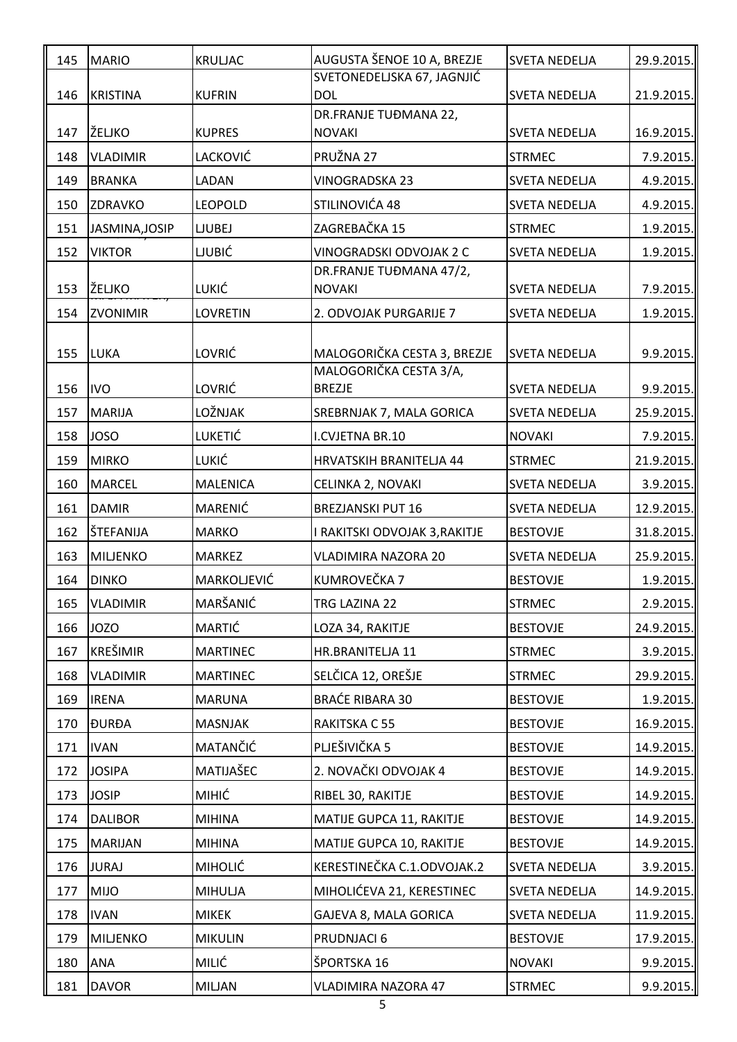| 145 | <b>MARIO</b>    | <b>KRULJAC</b>     | AUGUSTA ŠENOE 10 A, BREZJE                            | <b>SVETA NEDELJA</b> | 29.9.2015.   |
|-----|-----------------|--------------------|-------------------------------------------------------|----------------------|--------------|
| 146 | <b>KRISTINA</b> | <b>KUFRIN</b>      | SVETONEDELJSKA 67, JAGNJIĆ<br><b>DOL</b>              | <b>SVETA NEDELJA</b> | 21.9.2015.   |
|     |                 |                    | DR.FRANJE TUĐMANA 22,                                 |                      |              |
| 147 | ŽELJKO          | <b>KUPRES</b>      | <b>NOVAKI</b>                                         | <b>SVETA NEDELJA</b> | 16.9.2015.   |
| 148 | <b>VLADIMIR</b> | LACKOVIĆ           | PRUŽNA 27                                             | <b>STRMEC</b>        | 7.9.2015.    |
| 149 | <b>BRANKA</b>   | LADAN              | <b>VINOGRADSKA 23</b>                                 | <b>SVETA NEDELJA</b> | 4.9.2015.    |
| 150 | <b>ZDRAVKO</b>  | <b>LEOPOLD</b>     | STILINOVIĆA 48                                        | <b>SVETA NEDELJA</b> | 4.9.2015.    |
| 151 | JASMINA, JOSIP  | <b>LJUBEJ</b>      | ZAGREBAČKA 15                                         | <b>STRMEC</b>        | 1.9.2015.    |
| 152 | <b>VIKTOR</b>   | <b>LJUBIĆ</b>      | VINOGRADSKI ODVOJAK 2 C                               | <b>SVETA NEDELJA</b> | 1.9.2015.    |
|     |                 |                    | DR.FRANJE TUĐMANA 47/2,                               |                      |              |
| 153 | ŽELJKO          | LUKIĆ              | <b>NOVAKI</b>                                         | <b>SVETA NEDELJA</b> | 7.9.2015.    |
| 154 | <b>ZVONIMIR</b> | <b>LOVRETIN</b>    | 2. ODVOJAK PURGARIJE 7                                | <b>SVETA NEDELJA</b> | 1.9.2015.    |
| 155 | <b>LUKA</b>     | LOVRIĆ             | MALOGORIČKA CESTA 3, BREZJE<br>MALOGORIČKA CESTA 3/A, | <b>SVETA NEDELJA</b> | 9.9.2015.    |
| 156 | <b>IVO</b>      | LOVRIĆ             | <b>BREZJE</b>                                         | <b>SVETA NEDELJA</b> | 9.9.2015.    |
| 157 | <b>MARIJA</b>   | LOŽNJAK            | SREBRNJAK 7, MALA GORICA                              | <b>SVETA NEDELJA</b> | 25.9.2015.   |
| 158 | <b>JOSO</b>     | <b>LUKETIĆ</b>     | I.CVJETNA BR.10                                       | <b>NOVAKI</b>        | 7.9.2015.    |
| 159 | <b>MIRKO</b>    | LUKIĆ              | <b>HRVATSKIH BRANITELJA 44</b>                        | <b>STRMEC</b>        | 21.9.2015.   |
| 160 | <b>MARCEL</b>   | <b>MALENICA</b>    | CELINKA 2, NOVAKI                                     | <b>SVETA NEDELJA</b> | 3.9.2015.    |
| 161 | <b>DAMIR</b>    | MARENIĆ            | <b>BREZJANSKI PUT 16</b>                              | <b>SVETA NEDELJA</b> | 12.9.2015.   |
| 162 | ŠTEFANIJA       | <b>MARKO</b>       | I RAKITSKI ODVOJAK 3,RAKITJE                          | <b>BESTOVJE</b>      | 31.8.2015.   |
| 163 | <b>MILJENKO</b> | <b>MARKEZ</b>      | VLADIMIRA NAZORA 20                                   | <b>SVETA NEDELJA</b> | 25.9.2015.   |
| 164 | <b>DINKO</b>    | <b>MARKOLJEVIĆ</b> | KUMROVEČKA 7                                          | <b>BESTOVJE</b>      | 1.9.2015.    |
| 165 | <b>VLADIMIR</b> | MARŠANIĆ           | TRG LAZINA 22                                         | <b>STRMEC</b>        | 2.9.2015.    |
| 166 | <b>JOZO</b>     | <b>MARTIĆ</b>      | LOZA 34, RAKITJE                                      | <b>BESTOVJE</b>      | 24.9.2015.   |
| 167 | <b>KREŠIMIR</b> | <b>MARTINEC</b>    | HR.BRANITELJA 11                                      | <b>STRMEC</b>        | $3.9.2015$ . |
| 168 | <b>VLADIMIR</b> | <b>MARTINEC</b>    | SELČICA 12, OREŠJE                                    | <b>STRMEC</b>        | 29.9.2015.   |
| 169 | <b>IRENA</b>    | <b>MARUNA</b>      | <b>BRAĆE RIBARA 30</b>                                | <b>BESTOVJE</b>      | 1.9.2015.    |
| 170 | <b>ĐURĐA</b>    | <b>MASNJAK</b>     | RAKITSKA C 55                                         | <b>BESTOVJE</b>      | 16.9.2015.   |
| 171 | <b>IVAN</b>     | MATANČIĆ           | PLJEŠIVIČKA 5                                         | <b>BESTOVJE</b>      | 14.9.2015.   |
| 172 | <b>JOSIPA</b>   | MATIJAŠEC          | 2. NOVAČKI ODVOJAK 4                                  | <b>BESTOVJE</b>      | 14.9.2015.   |
| 173 | <b>JOSIP</b>    | <b>MIHIĆ</b>       | RIBEL 30, RAKITJE                                     | <b>BESTOVJE</b>      | 14.9.2015.   |
| 174 | <b>DALIBOR</b>  | <b>MIHINA</b>      | MATIJE GUPCA 11, RAKITJE                              | <b>BESTOVJE</b>      | 14.9.2015.   |
| 175 | <b>MARIJAN</b>  | <b>MIHINA</b>      | MATIJE GUPCA 10, RAKITJE                              | <b>BESTOVJE</b>      | 14.9.2015.   |
| 176 | <b>JURAJ</b>    | <b>MIHOLIĆ</b>     | KERESTINEČKA C.1.ODVOJAK.2                            | <b>SVETA NEDELJA</b> | 3.9.2015.    |
| 177 | <b>MIJO</b>     | <b>MIHULJA</b>     | MIHOLIĆEVA 21, KERESTINEC                             | <b>SVETA NEDELJA</b> | 14.9.2015.   |
| 178 | <b>IVAN</b>     | <b>MIKEK</b>       | GAJEVA 8, MALA GORICA                                 | <b>SVETA NEDELJA</b> | 11.9.2015.   |
| 179 | <b>MILJENKO</b> | <b>MIKULIN</b>     | PRUDNJACI 6                                           | <b>BESTOVJE</b>      | 17.9.2015.   |
| 180 | ANA             | MILIĆ              | ŠPORTSKA 16                                           | <b>NOVAKI</b>        | $9.9.2015$ . |
| 181 | <b>DAVOR</b>    | <b>MILJAN</b>      | VLADIMIRA NAZORA 47                                   | <b>STRMEC</b>        | $9.9.2015$ . |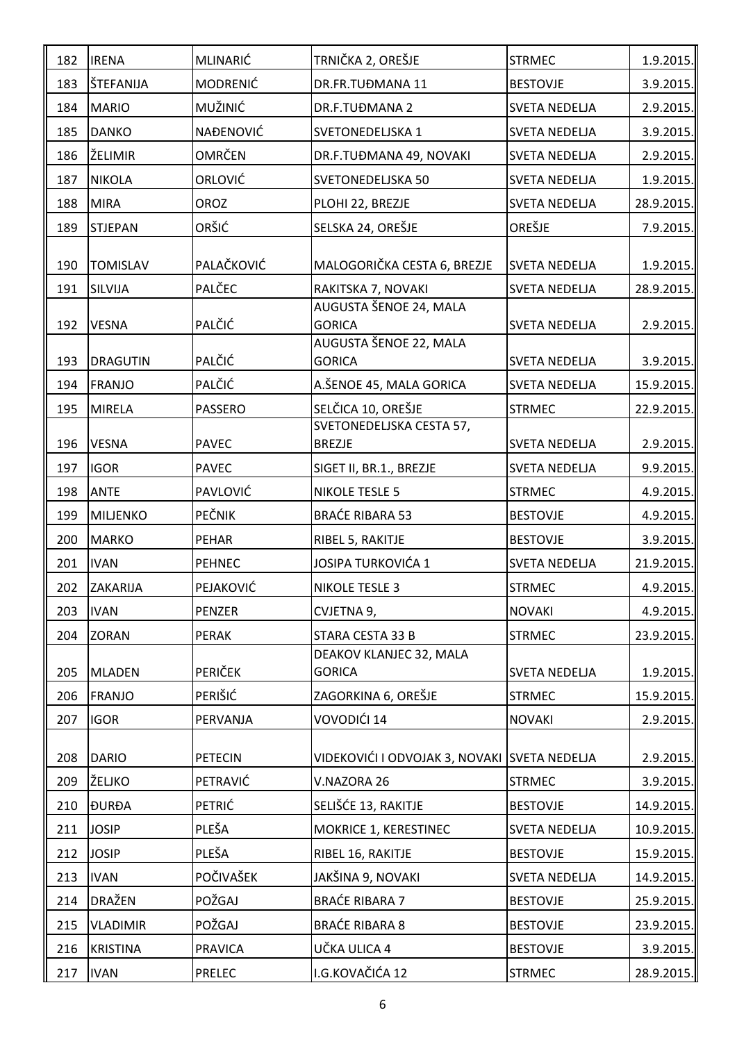| 182 | <b>IRENA</b>    | MLINARIĆ         | TRNIČKA 2, OREŠJE                            | <b>STRMEC</b>        | $1.9.2015$ . |
|-----|-----------------|------------------|----------------------------------------------|----------------------|--------------|
| 183 | ŠTEFANIJA       | <b>MODRENIĆ</b>  | DR.FR.TUĐMANA 11                             | <b>BESTOVJE</b>      | 3.9.2015.    |
| 184 | <b>MARIO</b>    | MUŽINIĆ          | DR.F.TUĐMANA 2                               | <b>SVETA NEDELJA</b> | 2.9.2015.    |
| 185 | <b>DANKO</b>    | <b>NAĐENOVIĆ</b> | SVETONEDELJSKA 1                             | <b>SVETA NEDELJA</b> | 3.9.2015.    |
| 186 | ŽELIMIR         | <b>OMRČEN</b>    | DR.F.TUĐMANA 49, NOVAKI                      | <b>SVETA NEDELJA</b> | 2.9.2015.    |
| 187 | <b>NIKOLA</b>   | ORLOVIĆ          | <b>SVETONEDELJSKA 50</b>                     | <b>SVETA NEDELJA</b> | 1.9.2015.    |
| 188 | <b>MIRA</b>     | OROZ             | PLOHI 22, BREZJE                             | <b>SVETA NEDELJA</b> | 28.9.2015.   |
| 189 | <b>STJEPAN</b>  | ORŠIĆ            | SELSKA 24, OREŠJE                            | OREŠJE               | 7.9.2015.    |
|     |                 |                  |                                              |                      |              |
| 190 | <b>TOMISLAV</b> | PALAČKOVIĆ       | MALOGORIČKA CESTA 6, BREZJE                  | <b>SVETA NEDELJA</b> | 1.9.2015.    |
| 191 | SILVIJA         | PALČEC           | RAKITSKA 7, NOVAKI<br>AUGUSTA ŠENOE 24, MALA | <b>SVETA NEDELJA</b> | 28.9.2015.   |
| 192 | <b>VESNA</b>    | PALČIĆ           | <b>GORICA</b>                                | <b>SVETA NEDELJA</b> | 2.9.2015.    |
|     |                 |                  | AUGUSTA ŠENOE 22, MALA                       |                      |              |
| 193 | <b>DRAGUTIN</b> | PALČIĆ           | <b>GORICA</b>                                | <b>SVETA NEDELJA</b> | 3.9.2015.    |
| 194 | <b>FRANJO</b>   | PALČIĆ           | A.ŠENOE 45, MALA GORICA                      | <b>SVETA NEDELJA</b> | 15.9.2015.   |
| 195 | <b>MIRELA</b>   | <b>PASSERO</b>   | SELČICA 10, OREŠJE                           | <b>STRMEC</b>        | 22.9.2015.   |
|     |                 |                  | SVETONEDELJSKA CESTA 57,                     |                      |              |
| 196 | <b>VESNA</b>    | <b>PAVEC</b>     | <b>BREZJE</b>                                | <b>SVETA NEDELJA</b> | 2.9.2015.    |
| 197 | <b>IGOR</b>     | <b>PAVEC</b>     | SIGET II, BR.1., BREZJE                      | <b>SVETA NEDELJA</b> | 9.9.2015.    |
| 198 | <b>ANTE</b>     | PAVLOVIĆ         | <b>NIKOLE TESLE 5</b>                        | <b>STRMEC</b>        | 4.9.2015.    |
| 199 | <b>MILJENKO</b> | <b>PEČNIK</b>    | <b>BRAĆE RIBARA 53</b>                       | <b>BESTOVJE</b>      | 4.9.2015.    |
| 200 | <b>MARKO</b>    | <b>PEHAR</b>     | RIBEL 5, RAKITJE                             | <b>BESTOVJE</b>      | 3.9.2015.    |
| 201 | <b>IVAN</b>     | <b>PEHNEC</b>    | JOSIPA TURKOVIĆA 1                           | <b>SVETA NEDELJA</b> | 21.9.2015.   |
| 202 | ZAKARIJA        | PEJAKOVIĆ        | <b>NIKOLE TESLE 3</b>                        | <b>STRMEC</b>        | $4.9.2015$ . |
| 203 | <b>IVAN</b>     | <b>PENZER</b>    | CVJETNA 9,                                   | <b>NOVAKI</b>        | $4.9.2015$ . |
| 204 | <b>ZORAN</b>    | <b>PERAK</b>     | STARA CESTA 33 B                             | <b>STRMEC</b>        | 23.9.2015.   |
|     |                 |                  | DEAKOV KLANJEC 32, MALA                      |                      |              |
| 205 | <b>MLADEN</b>   | PERIČEK          | <b>GORICA</b>                                | <b>SVETA NEDELJA</b> | 1.9.2015.    |
| 206 | <b>FRANJO</b>   | PERIŠIĆ          | ZAGORKINA 6, OREŠJE                          | <b>STRMEC</b>        | 15.9.2015.   |
| 207 | <b>IGOR</b>     | PERVANJA         | VOVODIĆI 14                                  | <b>NOVAKI</b>        | 2.9.2015.    |
| 208 | <b>DARIO</b>    | <b>PETECIN</b>   | VIDEKOVIĆI I ODVOJAK 3, NOVAKI SVETA NEDELJA |                      | $2.9.2015$ . |
| 209 | ŽELJKO          | PETRAVIĆ         | V.NAZORA 26                                  | <b>STRMEC</b>        | 3.9.2015.    |
| 210 | <b>ĐURĐA</b>    | PETRIĆ           | SELIŠĆE 13, RAKITJE                          | <b>BESTOVJE</b>      | 14.9.2015.   |
| 211 | <b>JOSIP</b>    | PLEŠA            | MOKRICE 1, KERESTINEC                        | <b>SVETA NEDELJA</b> | 10.9.2015.   |
| 212 | <b>JOSIP</b>    | PLEŠA            | RIBEL 16, RAKITJE                            | <b>BESTOVJE</b>      | 15.9.2015.   |
| 213 | <b>IVAN</b>     | POČIVAŠEK        | JAKŠINA 9, NOVAKI                            | <b>SVETA NEDELJA</b> | 14.9.2015.   |
| 214 | <b>DRAŽEN</b>   | POŽGAJ           | <b>BRAĆE RIBARA 7</b>                        | <b>BESTOVJE</b>      | 25.9.2015.   |
| 215 | <b>VLADIMIR</b> | POŽGAJ           | <b>BRAĆE RIBARA 8</b>                        | <b>BESTOVJE</b>      | 23.9.2015.   |
| 216 | <b>KRISTINA</b> | <b>PRAVICA</b>   | UČKA ULICA 4                                 | <b>BESTOVJE</b>      | 3.9.2015.    |
| 217 | <b>IVAN</b>     | PRELEC           | I.G.KOVAČIĆA 12                              | <b>STRMEC</b>        | 28.9.2015.   |
|     |                 |                  |                                              |                      |              |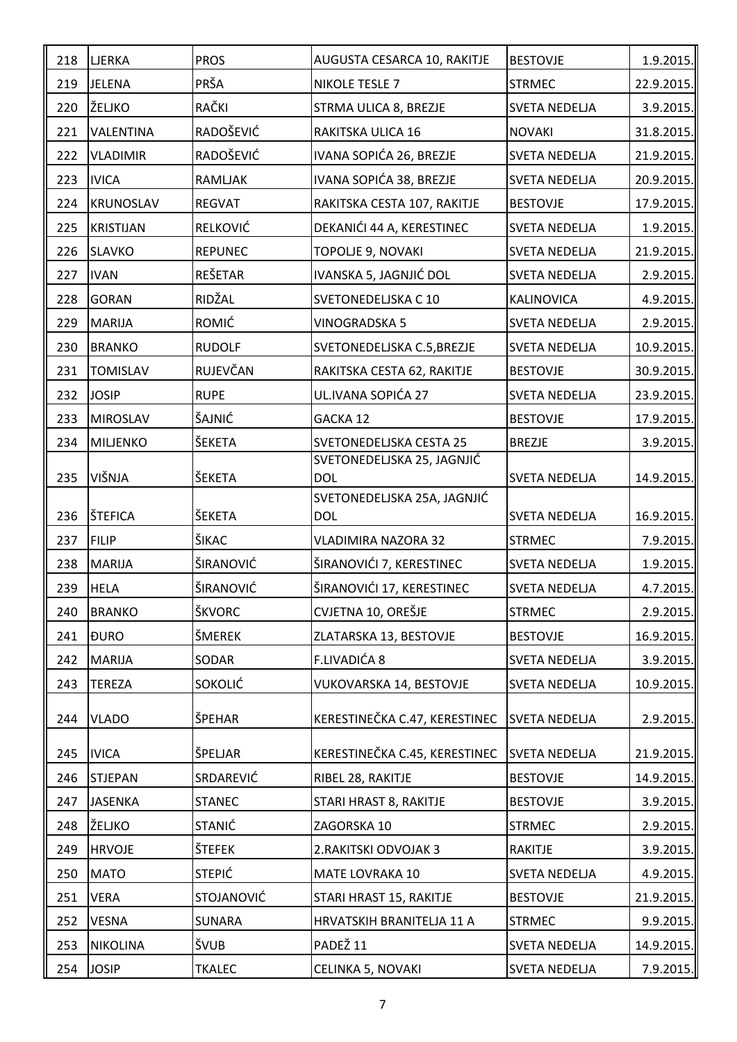| 218 | <b>LJERKA</b>    | <b>PROS</b>    | AUGUSTA CESARCA 10, RAKITJE              | <b>BESTOVJE</b>      | $1.9.2015$ . |
|-----|------------------|----------------|------------------------------------------|----------------------|--------------|
| 219 | <b>JELENA</b>    | PRŠA           | <b>NIKOLE TESLE 7</b>                    | <b>STRMEC</b>        | 22.9.2015.   |
| 220 | ŽELJKO           | RAČKI          | STRMA ULICA 8, BREZJE                    | <b>SVETA NEDELJA</b> | 3.9.2015.    |
| 221 | VALENTINA        | RADOŠEVIĆ      | RAKITSKA ULICA 16                        | <b>NOVAKI</b>        | 31.8.2015.   |
| 222 | <b>VLADIMIR</b>  | RADOŠEVIĆ      | IVANA SOPIĆA 26, BREZJE                  | SVETA NEDELJA        | 21.9.2015.   |
| 223 | <b>IVICA</b>     | RAMLJAK        | IVANA SOPIĆA 38, BREZJE                  | <b>SVETA NEDELJA</b> | 20.9.2015.   |
| 224 | <b>KRUNOSLAV</b> | <b>REGVAT</b>  | RAKITSKA CESTA 107, RAKITJE              | <b>BESTOVJE</b>      | 17.9.2015.   |
| 225 | <b>KRISTIJAN</b> | RELKOVIĆ       | DEKANIĆI 44 A, KERESTINEC                | <b>SVETA NEDELJA</b> | 1.9.2015.    |
| 226 | <b>SLAVKO</b>    | <b>REPUNEC</b> | TOPOLJE 9, NOVAKI                        | <b>SVETA NEDELJA</b> | 21.9.2015.   |
| 227 | <b>IVAN</b>      | REŠETAR        | IVANSKA 5, JAGNJIĆ DOL                   | <b>SVETA NEDELJA</b> | 2.9.2015.    |
| 228 | <b>GORAN</b>     | RIDŽAL         | SVETONEDELJSKA C 10                      | <b>KALINOVICA</b>    | 4.9.2015.    |
| 229 | <b>MARIJA</b>    | <b>ROMIĆ</b>   | <b>VINOGRADSKA 5</b>                     | <b>SVETA NEDELJA</b> | 2.9.2015.    |
| 230 | <b>BRANKO</b>    | <b>RUDOLF</b>  | SVETONEDELJSKA C.5, BREZJE               | <b>SVETA NEDELJA</b> | 10.9.2015.   |
| 231 | <b>TOMISLAV</b>  | RUJEVČAN       | RAKITSKA CESTA 62, RAKITJE               | <b>BESTOVJE</b>      | 30.9.2015.   |
| 232 | <b>JOSIP</b>     | <b>RUPE</b>    | UL.IVANA SOPIĆA 27                       | <b>SVETA NEDELJA</b> | 23.9.2015.   |
| 233 | <b>MIROSLAV</b>  | ŠAJNIĆ         | GACKA 12                                 | <b>BESTOVJE</b>      | 17.9.2015.   |
| 234 | <b>MILJENKO</b>  | ŠEKETA         | SVETONEDELJSKA CESTA 25                  | <b>BREZJE</b>        | 3.9.2015.    |
|     | VIŠNJA           | ŠEKETA         | SVETONEDELJSKA 25, JAGNJIĆ<br><b>DOL</b> |                      |              |
| 235 |                  |                | SVETONEDELJSKA 25A, JAGNJIĆ              | <b>SVETA NEDELJA</b> | 14.9.2015.   |
| 236 | ŠTEFICA          | ŠEKETA         | <b>DOL</b>                               | <b>SVETA NEDELJA</b> | 16.9.2015.   |
| 237 | <b>FILIP</b>     | ŠIKAC          | <b>VLADIMIRA NAZORA 32</b>               | <b>STRMEC</b>        | 7.9.2015.    |
| 238 | <b>MARIJA</b>    | ŠIRANOVIĆ      | ŠIRANOVIĆI 7, KERESTINEC                 | <b>SVETA NEDELJA</b> | 1.9.2015.    |
| 239 | <b>HELA</b>      | ŠIRANOVIĆ      | ŠIRANOVIĆI 17, KERESTINEC                | <b>SVETA NEDELJA</b> | $4.7.2015$ . |
| 240 | <b>BRANKO</b>    | ŠKVORC         | CVJETNA 10, OREŠJE                       | <b>STRMEC</b>        | 2.9.2015.    |
| 241 | <b>ĐURO</b>      | ŠMEREK         | ZLATARSKA 13, BESTOVJE                   | <b>BESTOVJE</b>      | 16.9.2015.   |
| 242 | <b>MARIJA</b>    | SODAR          | F.LIVADIĆA 8                             | <b>SVETA NEDELJA</b> | 3.9.2015.    |
| 243 | <b>TEREZA</b>    | <b>SOKOLIĆ</b> | VUKOVARSKA 14, BESTOVJE                  | <b>SVETA NEDELJA</b> | 10.9.2015.   |
| 244 | <b>VLADO</b>     | ŠPEHAR         | KERESTINEČKA C.47, KERESTINEC            | <b>SVETA NEDELJA</b> | 2.9.2015.    |
|     |                  |                |                                          |                      |              |
| 245 | <b>IVICA</b>     | ŠPELJAR        | KERESTINEČKA C.45, KERESTINEC            | <b>SVETA NEDELJA</b> | 21.9.2015.   |
| 246 | <b>STJEPAN</b>   | SRDAREVIĆ      | RIBEL 28, RAKITJE                        | <b>BESTOVJE</b>      | 14.9.2015.   |
| 247 | <b>JASENKA</b>   | <b>STANEC</b>  | STARI HRAST 8, RAKITJE                   | <b>BESTOVJE</b>      | $3.9.2015$ . |
| 248 | ŽELJKO           | <b>STANIĆ</b>  | ZAGORSKA 10                              | <b>STRMEC</b>        | 2.9.2015.    |
| 249 | <b>HRVOJE</b>    | ŠTEFEK         | 2. RAKITSKI ODVOJAK 3                    | <b>RAKITJE</b>       | 3.9.2015.    |
| 250 | <b>MATO</b>      | <b>STEPIĆ</b>  | MATE LOVRAKA 10                          | <b>SVETA NEDELJA</b> | 4.9.2015.    |
| 251 | <b>VERA</b>      | STOJANOVIĆ     | STARI HRAST 15, RAKITJE                  | <b>BESTOVJE</b>      | 21.9.2015.   |
| 252 | <b>VESNA</b>     | <b>SUNARA</b>  | HRVATSKIH BRANITELJA 11 A                | <b>STRMEC</b>        | 9.9.2015.    |
| 253 | <b>NIKOLINA</b>  | ŠVUB           | PADEŽ <sub>11</sub>                      | <b>SVETA NEDELJA</b> | 14.9.2015.   |
| 254 | <b>JOSIP</b>     | <b>TKALEC</b>  | CELINKA 5, NOVAKI                        | <b>SVETA NEDELJA</b> | 7.9.2015.    |